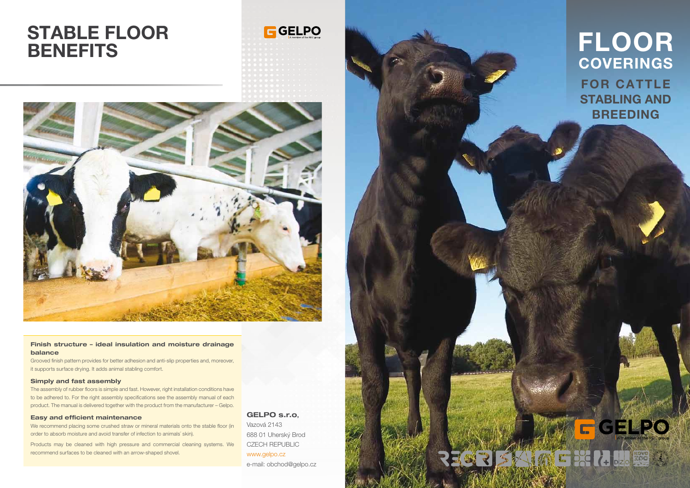# STABLE FLOOR **BENEFITS**





## Finish structure – ideal insulation and moisture drainage balance

Grooved finish pattern provides for better adhesion and anti-slip properties and, moreover, it supports surface drying. It adds animal stabling comfort.

### Simply and fast assembly

The assembly of rubber floors is simple and fast. However, right installation conditions have to be adhered to. For the right assembly specifications see the assembly manual of each product. The manual is delivered together with the product from the manufacturer – Gelpo.

### Easy and efficient maintenance

We recommend placing some crushed straw or mineral materials onto the stable floor (in order to absorb moisture and avoid transfer of infection to animals´ skin).

Products may be cleaned with high pressure and commercial cleaning systems. We recommend surfaces to be cleaned with an arrow-shaped shovel.

GELPO s.r.o,



Vazová 2143 688 01 Uherský Brod CZECH REPUBLIC www.gelpo.cz e-mail: obchod@gelpo.cz

# FLOOR COVERINGS FOR CATTLE STABLING AND BREEDING

GÉLPO